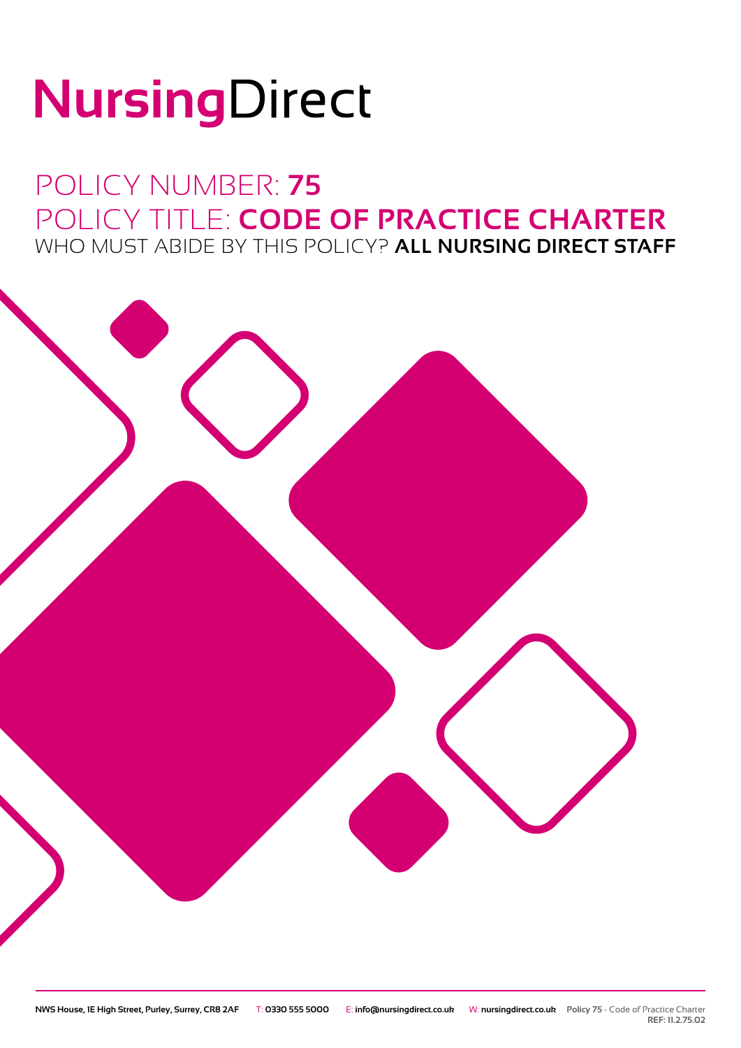# NursingDirect

## POLICY NUMBER: **75** POLICY TITLE: **CODE OF PRACTICE CHARTER** WHO MUST ABIDE BY THIS POLICY? **ALL NURSING DIRECT STAFF**



**REF: 11.2.75.02**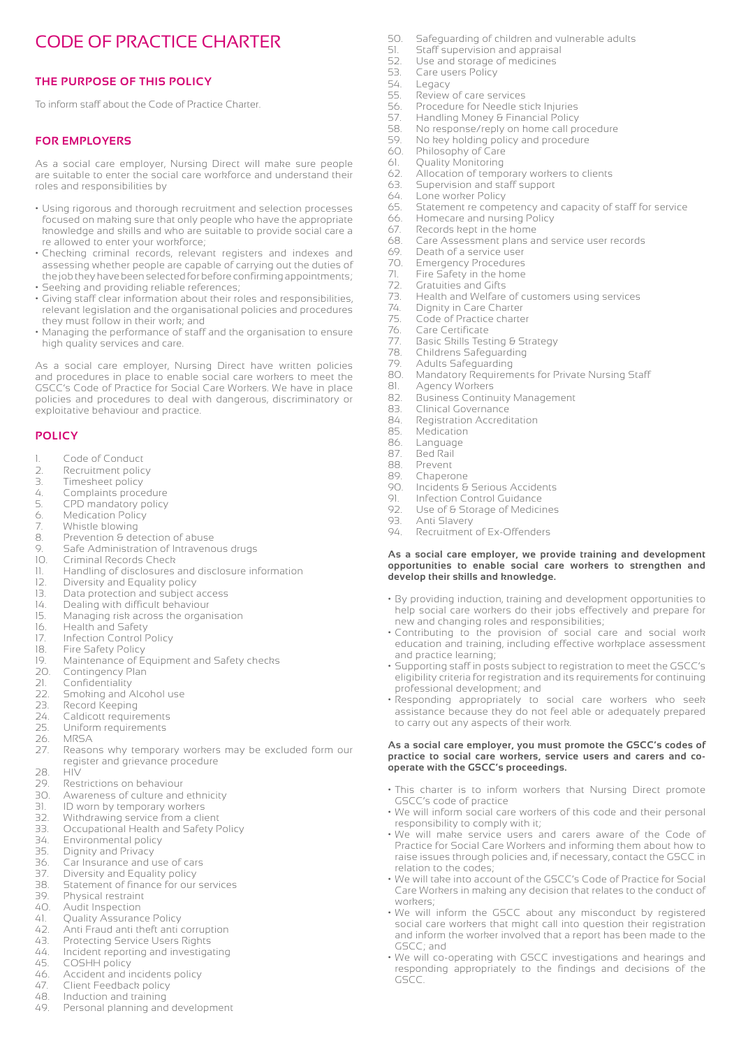### CODE OF PRACTICE CHARTER

#### **THE PURPOSE OF THIS POLICY**

To inform staff about the Code of Practice Charter.

#### **FOR EMPLOYERS**

As a social care employer, Nursing Direct will make sure people are suitable to enter the social care workforce and understand their roles and responsibilities by

- Using rigorous and thorough recruitment and selection processes focused on making sure that only people who have the appropriate knowledge and skills and who are suitable to provide social care a re allowed to enter your workforce;
- Checking criminal records, relevant registers and indexes and assessing whether people are capable of carrying out the duties of the job they have been selected for before confirming appointments; • Seeking and providing reliable references;
- Giving staff clear information about their roles and responsibilities, relevant legislation and the organisational policies and procedures they must follow in their work; and
- Managing the performance of staff and the organisation to ensure high quality services and care.

As a social care employer, Nursing Direct have written policies and procedures in place to enable social care workers to meet the GSCC's Code of Practice for Social Care Workers. We have in place policies and procedures to deal with dangerous, discriminatory or exploitative behaviour and practice.

#### **POLICY**

- 1. Code of Conduct
- 2. Recruitment policy<br>3. Timesheet policy
- Timesheet policy
- 4. Complaints procedure<br>5. CPD mandatory policy
- 5. CPD mandatory policy
- 6. Medication Policy<br>7. Whistle blowing
- 7. Whistle blowing<br>8. Prevention & det
- 8. Prevention & detection of abuse<br>9. Safe Administration of Intravence
- 9. Safe Administration of Intravenous drugs<br>10. Criminal Records Check
- Criminal Records Check
- 11. Handling of disclosures and disclosure information
- 12. Diversity and Equality policy<br>13. Data protection and subject a
- 
- 13. Data protection and subject access<br>14. Dealing with difficult behaviour 14. Dealing with difficult behaviour<br>15. Managing risk across the organ
- Managing risk across the organisation
- 16. Health and Safety
- 17. Infection Control Policy<br>18. Fire Safety Policy
- 18. Fire Safety Policy<br>19. Maintenance of E
- 19. Maintenance of Equipment and Safety checks<br>20. Contingency Plan
- 20. Contingency Plan<br>21. Confidentiality
- Confidentiality
- 22. Smoking and Alcohol use<br>23. Record Keeping
- 23. Record Keeping<br>24. Caldicott require
- 
- 24. Caldicott requirements<br>25. Uniform requirements Uniform requirements
- 26. MRSA
- 27. Reasons why temporary workers may be excluded form our register and grievance procedure<br>28. HIV
- 28. HIV
- 29. Restrictions on behaviour
- Awareness of culture and ethnicity
- 31. ID worn by temporary workers
- 32. Withdrawing service from a client<br>33. Occupational Health and Safety F
- Occupational Health and Safety Policy
- 34. Environmental policy
- 35. Dignity and Privacy<br>36. Car Insurance and u
- Car Insurance and use of cars
- 37. Diversity and Equality policy
- 38. Statement of finance for our services
- 39. Physical restraint
- 40. Audit Inspection
- 41. Quality Assurance Policy
- 42. Anti Fraud anti theft anti corruption
- 43. Protecting Service Users Rights 44. Incident reporting and investigating
- 45. COSHH policy
- 
- 46. Accident and incidents policy<br>47. Client Feedback policy 47. Client Feedback policy
- 48. Induction and training
- 49. Personal planning and development
- 50. Safeguarding of children and vulnerable adults<br>51. Staff supervision and appraisal
- 51. Staff supervision and appraisal<br>52. Use and storage of medicines
- 52. Use and storage of medicines<br>53. Care users Policy
- 53. Care users Policy<br>54. Legacy
- 54. Legacy<br>55. Review
- 55. Review of care services<br>56. Procedure for Needle st
- 56. Procedure for Needle stick Injuries<br>57. Handling Money & Financial Policy
- 57. Handling Money & Financial Policy<br>58. No response/reply on home call pr
- 58. No response/reply on home call procedure<br>59. No key holding policy and procedure
- 59. No key holding policy and procedure
- 60. Philosophy of Care
- 61. Quality Monitoring
- 62. Allocation of temporary workers to clients
- 63. Supervision and staff support<br>64. Lone worker Policy
- 64. Lone worker Policy<br>65. Statement re comp
- Statement re competency and capacity of staff for service
- 66. Homecare and nursing Policy 67. Records kept in the home
- 68. Care Assessment plans and service user records
- 69. Death of a service user<br>70. Emergency Procedures
- 
- 70. Emergency Procedures<br>71. Fire Safety in the home<br>72. Gratuities and Gifts Fire Safety in the home
- 72. Gratuities and Gifts<br>73. Health and Welfare
- 73. Health and Welfare of customers using services
- 74. Dignity in Care Charter<br>75. Code of Practice charte
- 75. Code of Practice charter<br>76. Care Certificate<br>77. Basic Skills Testing & Str
- Care Certificate
- 77. Basic Skills Testing & Strategy<br>78. Childrens Safeguarding
- 78. Childrens Safeguarding<br>79. Adults Safeguarding
- 79. Adults Safeguarding<br>80. Mandatory Reguirem Mandatory Requirements for Private Nursing Staff
- 
- 81. Agency Workers 82. Business Continuity Management
- 
- 83. Clinical Governance<br>84. Registration Accredi
- 84. Registration Accreditation<br>85 Medication Medication
- 
- 86. Language
- 87. Bed Rail
- 88. Prevent<br>89. Chaperd

93. Anti Slavery<br>94. Recruitment

89. Chaperone<br>90. Incidents &

and practice learning;

- Incidents & Serious Accidents
- 91. Infection Control Guidance<br>92. Use of & Storage of Medici 92. Use of & Storage of Medicines<br>93. Anti Slavery

**develop their skills and knowledge.**

professional development; and

to carry out any aspects of their work.

**operate with the GSCC's proceedings.**

responsibility to comply with it;

GSCC's code of practice

relation to the codes;

workers;

GSCC; and

GSCC.

Recruitment of Ex-Offenders

new and changing roles and responsibilities;

**As a social care employer, we provide training and development opportunities to enable social care workers to strengthen and** 

• By providing induction, training and development opportunities to help social care workers do their jobs effectively and prepare for

• Contributing to the provision of social care and social work education and training, including effective workplace assessment

• Supporting staff in posts subject to registration to meet the GSCC's eligibility criteria for registration and its requirements for continuing

• Responding appropriately to social care workers who seek assistance because they do not feel able or adequately prepared

**As a social care employer, you must promote the GSCC's codes of practice to social care workers, service users and carers and co-**

• This charter is to inform workers that Nursing Direct promote

• We will inform social care workers of this code and their personal

• We will make service users and carers aware of the Code of Practice for Social Care Workers and informing them about how to raise issues through policies and, if necessary, contact the GSCC in

• We will take into account of the GSCC's Code of Practice for Social Care Workers in making any decision that relates to the conduct of

• We will inform the GSCC about any misconduct by registered social care workers that might call into question their registration and inform the worker involved that a report has been made to the

• We will co-operating with GSCC investigations and hearings and responding appropriately to the findings and decisions of the